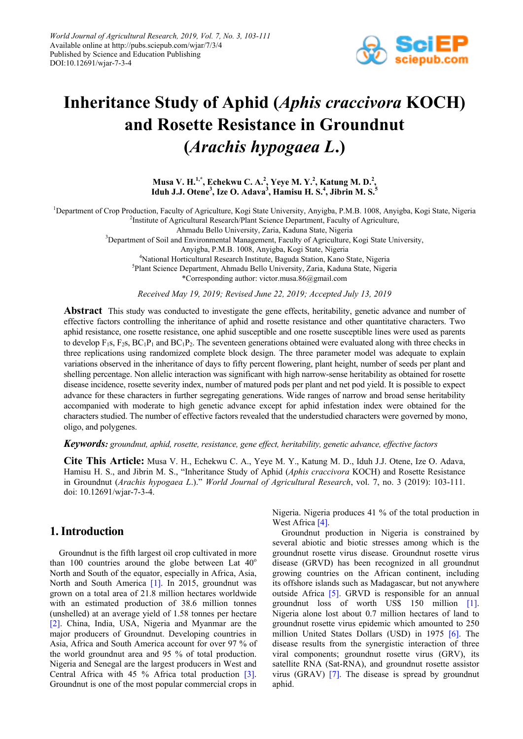

# **Inheritance Study of Aphid (***Aphis craccivora* **KOCH) and Rosette Resistance in Groundnut (***Arachis hypogaea L***.)**

**Musa V. H.1,\* , Echekwu C. A.<sup>2</sup> , Yeye M. Y.<sup>2</sup> , Katung M. D.<sup>2</sup> , Iduh J.J. Otene3 , Ize O. Adava<sup>3</sup> , Hamisu H. S.<sup>4</sup> , Jibrin M. S. 5**

<sup>1</sup>Department of Crop Production, Faculty of Agriculture, Kogi State University, Anyigba, P.M.B. 1008, Anyigba, Kogi State, Nigeria <sup>2</sup>Institute of Agricultural Research/Plant Science Department, Faculty of Agriculture,

Ahmadu Bello University, Zaria, Kaduna State, Nigeria

<sup>3</sup>Department of Soil and Environmental Management, Faculty of Agriculture, Kogi State University,

Anyigba, P.M.B. 1008, Anyigba, Kogi State, Nigeria

4 National Horticultural Research Institute, Baguda Station, Kano State, Nigeria

5 Plant Science Department, Ahmadu Bello University, Zaria, Kaduna State, Nigeria

\*Corresponding author: victor.musa.86@gmail.com

*Received May 19, 2019; Revised June 22, 2019; Accepted July 13, 2019*

**Abstract** This study was conducted to investigate the gene effects, heritability, genetic advance and number of effective factors controlling the inheritance of aphid and rosette resistance and other quantitative characters. Two aphid resistance, one rosette resistance, one aphid susceptible and one rosette susceptible lines were used as parents to develop  $F_1s$ ,  $F_2s$ ,  $BC_1P_1$  and  $BC_1P_2$ . The seventeen generations obtained were evaluated along with three checks in three replications using randomized complete block design. The three parameter model was adequate to explain variations observed in the inheritance of days to fifty percent flowering, plant height, number of seeds per plant and shelling percentage. Non allelic interaction was significant with high narrow-sense heritability as obtained for rosette disease incidence, rosette severity index, number of matured pods per plant and net pod yield. It is possible to expect advance for these characters in further segregating generations. Wide ranges of narrow and broad sense heritability accompanied with moderate to high genetic advance except for aphid infestation index were obtained for the characters studied. The number of effective factors revealed that the understudied characters were governed by mono, oligo, and polygenes.

#### *Keywords: groundnut, aphid, rosette, resistance, gene effect, heritability, genetic advance, effective factors*

**Cite This Article:** Musa V. H., Echekwu C. A., Yeye M. Y., Katung M. D., Iduh J.J. Otene, Ize O. Adava, Hamisu H. S., and Jibrin M. S., "Inheritance Study of Aphid (*Aphis craccivora* KOCH) and Rosette Resistance in Groundnut (*Arachis hypogaea L*.)." *World Journal of Agricultural Research*, vol. 7, no. 3 (2019): 103-111. doi: 10.12691/wjar-7-3-4.

# **1. Introduction**

Groundnut is the fifth largest oil crop cultivated in more than 100 countries around the globe between Lat  $40^{\circ}$ North and South of the equator, especially in Africa, Asia, North and South America [\[1\].](#page-8-0) In 2015, groundnut was grown on a total area of 21.8 million hectares worldwide with an estimated production of 38.6 million tonnes (unshelled) at an average yield of 1.58 tonnes per hectare [\[2\].](#page-8-1) China, India, USA, Nigeria and Myanmar are the major producers of Groundnut. Developing countries in Asia, Africa and South America account for over 97 % of the world groundnut area and 95 % of total production. Nigeria and Senegal are the largest producers in West and Central Africa with 45 % Africa total production [\[3\].](#page-8-2) Groundnut is one of the most popular commercial crops in

Nigeria. Nigeria produces 41 % of the total production in West Africa [\[4\].](#page-8-3)

Groundnut production in Nigeria is constrained by several abiotic and biotic stresses among which is the groundnut rosette virus disease. Groundnut rosette virus disease (GRVD) has been recognized in all groundnut growing countries on the African continent, including its offshore islands such as Madagascar, but not anywhere outside Africa [\[5\].](#page-8-4) GRVD is responsible for an annual groundnut loss of worth US\$ 150 million [\[1\].](#page-8-0) Nigeria alone lost about 0.7 million hectares of land to groundnut rosette virus epidemic which amounted to 250 million United States Dollars (USD) in 1975 [\[6\].](#page-8-5) The disease results from the synergistic interaction of three viral components; groundnut rosette virus (GRV), its satellite RNA (Sat-RNA), and groundnut rosette assistor virus (GRAV) [\[7\].](#page-8-6) The disease is spread by groundnut aphid.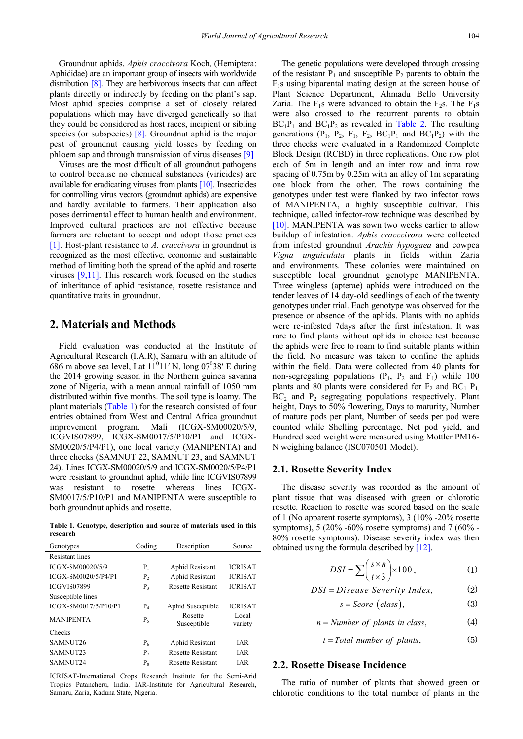Groundnut aphids, *Aphis craccivora* Koch, (Hemiptera: Aphididae) are an important group of insects with worldwide distribution [\[8\].](#page-8-7) They are herbivorous insects that can affect plants directly or indirectly by feeding on the plant's sap. Most aphid species comprise a set of closely related populations which may have diverged genetically so that they could be considered as host races, incipient or sibling species (or subspecies) [\[8\].](#page-8-7) Groundnut aphid is the major pest of groundnut causing yield losses by feeding on phloem sap and through transmission of virus diseases [\[9\]](#page-8-8)

Viruses are the most difficult of all groundnut pathogens to control because no chemical substances (viricides) are available for eradicating viruses from plant[s \[10\].](#page-8-9) Insecticides for controlling virus vectors (groundnut aphids) are expensive and hardly available to farmers. Their application also poses detrimental effect to human health and environment. Improved cultural practices are not effective because farmers are reluctant to accept and adopt those practices [\[1\].](#page-8-0) Host-plant resistance to *A. craccivora* in groundnut is recognized as the most effective, economic and sustainable method of limiting both the spread of the aphid and rosette viruses [\[9,11\].](#page-8-8) This research work focused on the studies of inheritance of aphid resistance, rosette resistance and quantitative traits in groundnut.

# **2. Materials and Methods**

Field evaluation was conducted at the Institute of Agricultural Research (I.A.R), Samaru with an altitude of 686 m above sea level, Lat  $11^011'$  N, long  $07^038'$  E during the 2014 growing season in the Northern guinea savanna zone of Nigeria, with a mean annual rainfall of 1050 mm distributed within five months. The soil type is loamy. The plant materials [\(Table 1\)](#page-1-0) for the research consisted of four entries obtained from West and Central Africa groundnut improvement program, Mali (ICGX-SM00020/5/9, ICGVIS07899, ICGX-SM0017/5/P10/P1 and ICGX-SM0020/5/P4/P1), one local variety (MANIPENTA) and three checks (SAMNUT 22, SAMNUT 23, and SAMNUT 24). Lines ICGX-SM00020/5/9 and ICGX-SM0020/5/P4/P1 were resistant to groundnut aphid, while line ICGVIS07899 was resistant to rosette whereas lines ICGX-SM0017/5/P10/P1 and MANIPENTA were susceptible to both groundnut aphids and rosette.

**Table 1. Genotype, description and source of materials used in this research**

<span id="page-1-0"></span>

| Genotypes              | Coding         | Description            | Source           |  |
|------------------------|----------------|------------------------|------------------|--|
| <b>Resistant lines</b> |                |                        |                  |  |
| ICGX-SM00020/5/9       | P <sub>1</sub> | Aphid Resistant        | <b>ICRISAT</b>   |  |
| ICGX-SM0020/5/P4/P1    | P <sub>2</sub> | Aphid Resistant        | <b>ICRISAT</b>   |  |
| <b>ICGVIS07899</b>     | $P_3$          | Rosette Resistant      | <b>ICRISAT</b>   |  |
| Susceptible lines      |                |                        |                  |  |
| ICGX-SM0017/5/P10/P1   | $P_4$          | Aphid Susceptible      | <b>ICRISAT</b>   |  |
| <b>MANIPENTA</b>       | $P_5$          | Rosette<br>Susceptible | Local<br>variety |  |
| Checks                 |                |                        |                  |  |
| SAMNUT26               | $P_6$          | Aphid Resistant        | IAR.             |  |
| SAMNUT23               | $P_7$          | Rosette Resistant      | <b>IAR</b>       |  |
| SAMNUT24               | $P_8$          | Rosette Resistant      | <b>IAR</b>       |  |

ICRISAT-International Crops Research Institute for the Semi-Arid Tropics Patancheru, India. IAR-Institute for Agricultural Research, Samaru, Zaria, Kaduna State, Nigeria.

The genetic populations were developed through crossing of the resistant  $P_1$  and susceptible  $P_2$  parents to obtain the F1s using biparental mating design at the screen house of Plant Science Department, Ahmadu Bello University Zaria. The  $F_1$ s were advanced to obtain the  $F_2$ s. The  $F_1$ s were also crossed to the recurrent parents to obtain  $BC_1P_1$  and  $BC_1P_2$  as revealed in [Table 2.](#page-2-0) The resulting generations  $(P_1, P_2, F_1, F_2, BC_1P_1$  and  $BC_1P_2$ ) with the three checks were evaluated in a Randomized Complete Block Design (RCBD) in three replications. One row plot each of 5m in length and an inter row and intra row spacing of 0.75m by 0.25m with an alley of 1m separating one block from the other. The rows containing the genotypes under test were flanked by two infector rows of MANIPENTA, a highly susceptible cultivar. This technique, called infector-row technique was described by [\[10\].](#page-8-9) MANIPENTA was sown two weeks earlier to allow buildup of infestation. *Aphis cracccivora* were collected from infested groundnut *Arachis hypogaea* and cowpea *Vigna unguiculata* plants in fields within Zaria and environments. These colonies were maintained on susceptible local groundnut genotype MANIPENTA. Three wingless (apterae) aphids were introduced on the tender leaves of 14 day-old seedlings of each of the twenty genotypes under trial. Each genotype was observed for the presence or absence of the aphids. Plants with no aphids were re-infested 7days after the first infestation. It was rare to find plants without aphids in choice test because the aphids were free to roam to find suitable plants within the field. No measure was taken to confine the aphids within the field. Data were collected from 40 plants for non-segregating populations  $(P_1, P_2 \text{ and } F_1)$  while 100 plants and 80 plants were considered for  $F_2$  and  $BC_1$   $P_1$ ,  $BC<sub>2</sub>$  and  $P<sub>2</sub>$  segregating populations respectively. Plant height, Days to 50% flowering, Days to maturity, Number of mature pods per plant, Number of seeds per pod were counted while Shelling percentage, Net pod yield, and Hundred seed weight were measured using Mottler PM16- N weighing balance (ISC070501 Model).

#### **2.1. Rosette Severity Index**

The disease severity was recorded as the amount of plant tissue that was diseased with green or chlorotic rosette. Reaction to rosette was scored based on the scale of 1 (No apparent rosette symptoms), 3 (10% -20% rosette symptoms), 5 (20% -60% rosette symptoms) and 7 (60% - 80% rosette symptoms). Disease severity index was then obtained using the formula described b[y \[12\].](#page-8-10)

$$
DSI = \sum \left(\frac{s \times n}{t \times 3}\right) \times 100, \tag{1}
$$

$$
DSI = Disease \tS every Index, \t(2)
$$

$$
s = Score (class), \tag{3}
$$

$$
n = Number of plants in class,
$$
\n<sup>(4)</sup>

$$
t = Total number of plants,
$$
 (5)

## **2.2. Rosette Disease Incidence**

The ratio of number of plants that showed green or chlorotic conditions to the total number of plants in the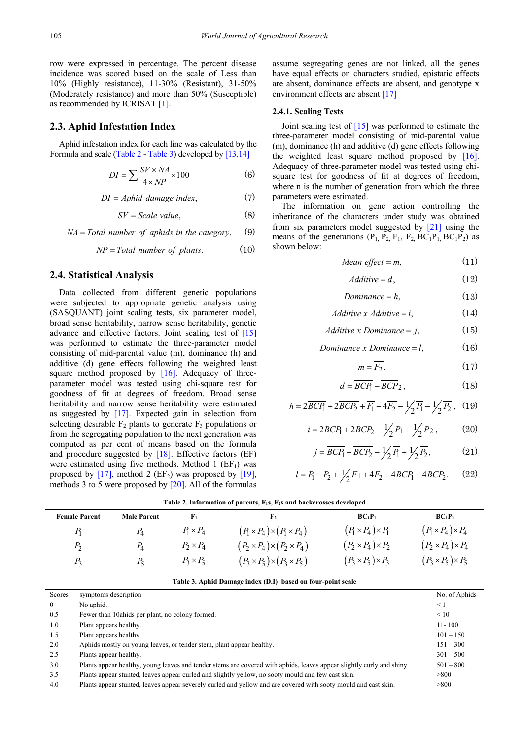row were expressed in percentage. The percent disease incidence was scored based on the scale of Less than 10% (Highly resistance), 11-30% (Resistant), 31-50% (Moderately resistance) and more than 50% (Susceptible) as recommended by ICRISA[T \[1\].](#page-8-0)

### **2.3. Aphid Infestation Index**

Aphid infestation index for each line was calculated by the Formula and scale [\(Table 2](#page-2-0) - [Table 3\)](#page-2-1) developed b[y \[13,14\]](#page-8-11)

$$
DI = \sum \frac{SV \times NA}{4 \times NP} \times 100
$$
 (6)

 $DI = Abhid$  damage index.  $(7)$ 

$$
SV = Scale\ value,\tag{8}
$$

 $NA = Total number of aphids in the category,$  (9)

$$
NP = Total number of plants. \tag{10}
$$

#### **2.4. Statistical Analysis**

Data collected from different genetic populations were subjected to appropriate genetic analysis using (SASQUANT) joint scaling tests, six parameter model, broad sense heritability, narrow sense heritability, genetic advance and effective factors. Joint scaling test of [\[15\]](#page-8-12) was performed to estimate the three-parameter model consisting of mid-parental value (m), dominance (h) and additive (d) gene effects following the weighted least square method proposed by  $[16]$ . Adequacy of threeparameter model was tested using chi-square test for goodness of fit at degrees of freedom. Broad sense heritability and narrow sense heritability were estimated as suggested by [\[17\].](#page-8-14) Expected gain in selection from selecting desirable  $F_2$  plants to generate  $F_3$  populations or from the segregating population to the next generation was computed as per cent of means based on the formula and procedure suggested by [\[18\].](#page-8-15) Effective factors (EF) were estimated using five methods. Method 1  $(EF<sub>1</sub>)$  was proposed by  $[17]$ , method 2 (EF<sub>2</sub>) was proposed by [\[19\],](#page-8-16) methods 3 to 5 were proposed by [\[20\].](#page-8-17) All of the formulas

assume segregating genes are not linked, all the genes have equal effects on characters studied, epistatic effects are absent, dominance effects are absent, and genotype x environment effects are absent [\[17\]](#page-8-14)

#### **2.4.1. Scaling Tests**

Joint scaling test of [\[15\]](#page-8-12) was performed to estimate the three-parameter model consisting of mid-parental value (m), dominance (h) and additive (d) gene effects following the weighted least square method proposed by [\[16\].](#page-8-13) Adequacy of three-parameter model was tested using chisquare test for goodness of fit at degrees of freedom, where n is the number of generation from which the three parameters were estimated.

The information on gene action controlling the inheritance of the characters under study was obtained from six parameters model suggested by [\[21\]](#page-8-18) using the means of the generations  $(P_1, P_2, F_1, F_2, BC_1P_1, BC_1P_2)$  as shown below:

Mean effect = 
$$
m
$$
, (11)

$$
Additive = d,\tag{12}
$$

$$
Domainace = h,\tag{13}
$$

Additive x Additive = 
$$
i
$$
, (14)

*Additive x Dominance = j*, 
$$
(15)
$$

### *Dominance x Dominance* =  $l$ , (16)

$$
m = F_2,\tag{17}
$$

$$
d = \overline{BCP_1} - \overline{BCP_2},\tag{18}
$$

$$
h = 2\overline{BCP_1} + 2\overline{BCP_2} + \overline{F_1} - 4\overline{F_2} - \frac{1}{2}\overline{P_1} - \frac{1}{2}\overline{P_2}, (19)
$$

$$
i = 2\overline{BCP_1} + 2\overline{BCP_2} - \frac{1}{2}\overline{P_1} + \frac{1}{2}\overline{P_2},
$$
 (20)

$$
j = \overline{BCP_1} - \overline{BCP_2} - \frac{1}{2}\overline{P_1} + \frac{1}{2}\overline{P_2},
$$
 (21)

$$
l = \overline{P_1} - \overline{P_2} + \frac{1}{2}\overline{F_1} + 4\overline{F_2} - 4\overline{BCP_1} - 4\overline{BCP_2}.
$$
 (22)

<span id="page-2-0"></span>

| <b>Female Parent</b> | <b>Male Parent</b> |                  | ${\bf F_2}$                                | $BC_1P_1$                     | $BC_1P_2$                     |  |
|----------------------|--------------------|------------------|--------------------------------------------|-------------------------------|-------------------------------|--|
|                      | $P_4$              | $P_1 \times P_4$ | $(P_1 \times P_4) \times (P_1 \times P_4)$ | $(P_1 \times P_4) \times P_1$ | $(P_1 \times P_4) \times P_4$ |  |
| P,                   | $P_4$              | $P_2 \times P_4$ | $(P_2 \times P_4) \times (P_2 \times P_4)$ | $(P_2 \times P_4) \times P_2$ | $(P_2 \times P_4) \times P_4$ |  |
| $P_{2}$              | $P_{5}$            | $P_3 \times P_5$ | $(P_3 \times P_5) \times (P_3 \times P_5)$ | $(P_3 \times P_5) \times P_3$ | $(P_3 \times P_5) \times P_5$ |  |
|                      |                    |                  |                                            |                               |                               |  |

| Table 2. Information of parents, $F_1s$ , $F_2s$ and backcrosses developed |  |  |  |
|----------------------------------------------------------------------------|--|--|--|
|----------------------------------------------------------------------------|--|--|--|

#### **Table 3. Aphid Damage index (D.I) based on four-point scale**

<span id="page-2-1"></span>

| Scores   | symptoms description                                                                                                  | No. of Aphids |
|----------|-----------------------------------------------------------------------------------------------------------------------|---------------|
| $\theta$ | No aphid.                                                                                                             | $\leq 1$      |
| 0.5      | Fewer than 10 a hids per plant, no colony formed.                                                                     | $\leq 10$     |
| 1.0      | Plant appears healthy.                                                                                                | $11 - 100$    |
| 1.5      | Plant appears healthy                                                                                                 | $101 - 150$   |
| 2.0      | Aphids mostly on young leaves, or tender stem, plant appear healthy.                                                  | $151 - 300$   |
| 2.5      | Plants appear healthy.                                                                                                | $301 - 500$   |
| 3.0      | Plants appear healthy, young leaves and tender stems are covered with aphids, leaves appear slightly curly and shiny. | $501 - 800$   |
| 3.5      | Plants appear stunted, leaves appear curled and slightly yellow, no sooty mould and few cast skin.                    | > 800         |
| 4.0      | Plants appear stunted, leaves appear severely curled and yellow and are covered with sooty mould and cast skin.       | > 800         |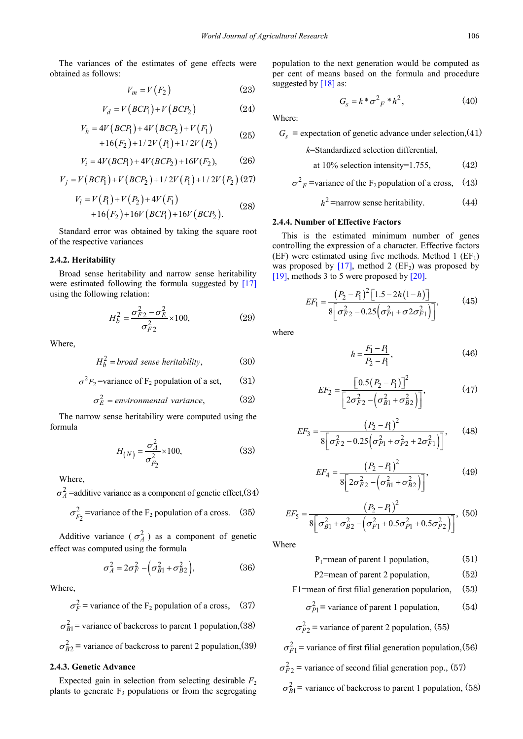The variances of the estimates of gene effects were obtained as follows:

$$
V_m = V(F_2) \tag{23}
$$

$$
V_d = V(BCP_1) + V(BCP_2) \tag{24}
$$

$$
V_h = 4V (BCP_1) + 4V (BCP_2) + V (F_1)
$$
  
+16(F<sub>2</sub>) + 1/2V (P<sub>1</sub>) + 1/2V (P<sub>2</sub>) (25)

$$
V_i = 4V(BCP_1) + 4V(BCP_2) + 16V(F_2),
$$
 (26)

$$
V_j = V(BCP_1) + V(BCP_2) + 1/2V(P_1) + 1/2V(P_2) (27)
$$

$$
V_l = V(P_1) + V(P_2) + 4V(F_1)
$$
  
+16(F<sub>2</sub>) + 16V (BCP<sub>1</sub>) + 16V (BCP<sub>2</sub>). (28)

Standard error was obtained by taking the square root of the respective variances

#### **2.4.2. Heritability**

Broad sense heritability and narrow sense heritability were estimated following the formula suggested by [\[17\]](#page-8-14) using the following relation:

$$
H_b^2 = \frac{\sigma_{F2}^2 - \sigma_E^2}{\sigma_{F2}^2} \times 100,
$$
 (29)

Where,

$$
H_b^2 = broad\ sense\ heritability,\tag{30}
$$

$$
\sigma^2 F_2
$$
 =variance of F<sub>2</sub> population of a set, (31)

$$
\sigma_E^2 = environmental \ variance, \tag{32}
$$

The narrow sense heritability were computed using the formula

$$
H_{(N)} = \frac{\sigma_A^2}{\sigma_{F_2}^2} \times 100,
$$
 (33)

Where,

 $\sigma_A^2$  =additive variance as a component of genetic effect, (34)

$$
\sigma_{F_2}^2
$$
 =variance of the F<sub>2</sub> population of a cross. (35)

Additive variance ( $\sigma_A^2$ ) as a component of genetic effect was computed using the formula

$$
\sigma_A^2 = 2\sigma_F^2 - \left(\sigma_{B1}^2 + \sigma_{B2}^2\right),\tag{36}
$$

Where,

 $\sigma_F^2$  = variance of the F<sub>2</sub> population of a cross, (37)

 $\sigma_{B1}^2$  = variance of backcross to parent 1 population, (38)

 $\sigma_{B2}^2$  = variance of backcross to parent 2 population,(39)

## **2.4.3. Genetic Advance**

Expected gain in selection from selecting desirable  $F_2$ plants to generate  $F_3$  populations or from the segregating population to the next generation would be computed as per cent of means based on the formula and procedure suggested b[y \[18\]](#page-8-15) as:

$$
G_s = k \cdot \sigma^2 F \cdot h^2, \qquad (40)
$$

Where:

 $G_s$  = expectation of genetic advance under selection, (41)

*k*=Standardized selection differential,

at 10% selection intensity=1.755, 
$$
(42)
$$

$$
\sigma^2
$$
<sub>F</sub> =variance of the F<sub>2</sub> population of a cross, (43)

 $h^2$  =narrow sense heritability. (44)

## **2.4.4. Number of Effective Factors**

This is the estimated minimum number of genes controlling the expression of a character. Effective factors (EF) were estimated using five methods. Method 1 ( $EF_1$ ) was proposed by [\[17\],](#page-8-14) method 2 (EF<sub>2</sub>) was proposed by [\[19\],](#page-8-16) methods 3 to 5 were proposed by [\[20\].](#page-8-17)

$$
EF_1 = \frac{(P_2 - P_1)^2 [1.5 - 2h(1 - h)]}{8 \left[ \sigma_{F2}^2 - 0.25 \left( \sigma_{P1}^2 + \sigma_2 \sigma_{F1}^2 \right) \right]},
$$
(45)

where

$$
h = \frac{F_1 - P_1}{P_2 - P_1},\tag{46}
$$

$$
EF_2 = \frac{\left[0.5(P_2 - P_1)\right]^2}{\left[2\sigma_{F2}^2 - \left(\sigma_{B1}^2 + \sigma_{B2}^2\right)\right]},\tag{47}
$$

$$
EF_3 = \frac{\left(P_2 - P_1\right)^2}{8\left[\sigma_{F2}^2 - 0.25\left(\sigma_{P1}^2 + \sigma_{P2}^2 + 2\sigma_{F1}^2\right)\right]},\qquad(48)
$$

$$
EF_4 = \frac{(P_2 - P_1)^2}{8\left[2\sigma_{F2}^2 - \left(\sigma_{B1}^2 + \sigma_{B2}^2\right)\right]},
$$
(49)

$$
EF_5 = \frac{\left(P_2 - P_1\right)^2}{8\left[\sigma_{B1}^2 + \sigma_{B2}^2 - \left(\sigma_{F1}^2 + 0.5\sigma_{P1}^2 + 0.5\sigma_{P2}^2\right)\right]},\tag{50}
$$

Where

$$
P_1 = mean of parent 1 population, \t(51)
$$

P2=mean of parent 2 population. (52)

$$
F1 = \text{mean of first filial generation population}, \quad (53)
$$

$$
\sigma_{P1}^2
$$
 = variance of parent 1 population, (54)

$$
\sigma_{P2}^2
$$
 = variance of parent 2 population, (55)

 $\sigma_{F1}^2$  = variance of first filial generation population, (56)  $\sigma_{F2}^2$  = variance of second filial generation pop., (57)

$$
\sigma_{B1}^2
$$
 = variance of backcross to parent 1 population, (58)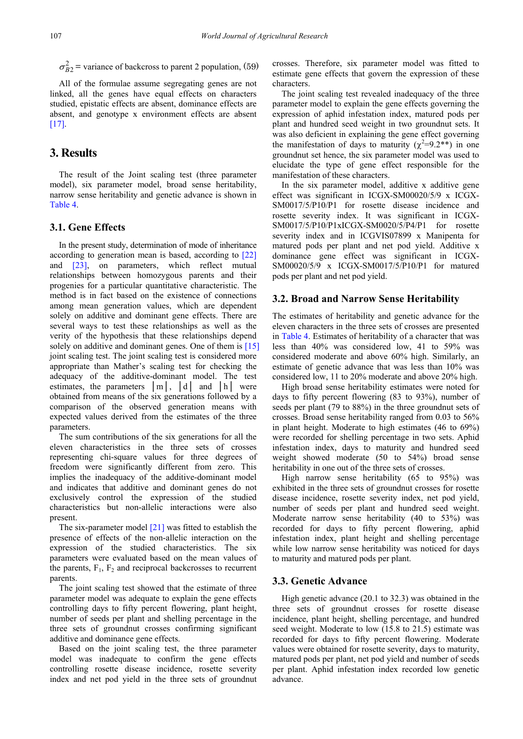$\sigma_{B2}^2$  = variance of backcross to parent 2 population, (59)

All of the formulae assume segregating genes are not linked, all the genes have equal effects on characters studied, epistatic effects are absent, dominance effects are absent, and genotype x environment effects are absent  $[17]$ .

# **3. Results**

The result of the Joint scaling test (three parameter model), six parameter model, broad sense heritability, narrow sense heritability and genetic advance is shown in [Table 4.](#page-5-0)

## **3.1. Gene Effects**

In the present study, determination of mode of inheritance according to generation mean is based, according to [\[22\]](#page-8-19) and [\[23\],](#page-8-20) on parameters, which reflect mutual relationships between homozygous parents and their progenies for a particular quantitative characteristic. The method is in fact based on the existence of connections among mean generation values, which are dependent solely on additive and dominant gene effects. There are several ways to test these relationships as well as the verity of the hypothesis that these relationships depend solely on additive and dominant genes. One of them is [\[15\]](#page-8-12) joint scaling test. The joint scaling test is considered more appropriate than Mather's scaling test for checking the adequacy of the additive-dominant model. The test estimates, the parameters │m│, │d│ and │h│ were obtained from means of the six generations followed by a comparison of the observed generation means with expected values derived from the estimates of the three parameters.

The sum contributions of the six generations for all the eleven characteristics in the three sets of crosses representing chi-square values for three degrees of freedom were significantly different from zero. This implies the inadequacy of the additive-dominant model and indicates that additive and dominant genes do not exclusively control the expression of the studied characteristics but non-allelic interactions were also present.

The six-parameter mode[l \[21\]](#page-8-18) was fitted to establish the presence of effects of the non-allelic interaction on the expression of the studied characteristics. The six parameters were evaluated based on the mean values of the parents,  $F_1$ ,  $F_2$  and reciprocal backcrosses to recurrent parents.

The joint scaling test showed that the estimate of three parameter model was adequate to explain the gene effects controlling days to fifty percent flowering, plant height, number of seeds per plant and shelling percentage in the three sets of groundnut crosses confirming significant additive and dominance gene effects.

Based on the joint scaling test, the three parameter model was inadequate to confirm the gene effects controlling rosette disease incidence, rosette severity index and net pod yield in the three sets of groundnut crosses. Therefore, six parameter model was fitted to estimate gene effects that govern the expression of these characters.

The joint scaling test revealed inadequacy of the three parameter model to explain the gene effects governing the expression of aphid infestation index, matured pods per plant and hundred seed weight in two groundnut sets. It was also deficient in explaining the gene effect governing the manifestation of days to maturity ( $\chi^2=9.2**$ ) in one groundnut set hence, the six parameter model was used to elucidate the type of gene effect responsible for the manifestation of these characters.

In the six parameter model, additive x additive gene effect was significant in ICGX-SM00020/5/9 x ICGX-SM0017/5/P10/P1 for rosette disease incidence and rosette severity index. It was significant in ICGX-SM0017/5/P10/P1xICGX-SM0020/5/P4/P1 for rosette severity index and in ICGVIS07899 x Manipenta for matured pods per plant and net pod yield. Additive x dominance gene effect was significant in ICGX-SM00020/5/9 x ICGX-SM0017/5/P10/P1 for matured pods per plant and net pod yield.

#### **3.2. Broad and Narrow Sense Heritability**

The estimates of heritability and genetic advance for the eleven characters in the three sets of crosses are presented in [Table 4.](#page-5-0) Estimates of heritability of a character that was less than 40% was considered low, 41 to 59% was considered moderate and above 60% high. Similarly, an estimate of genetic advance that was less than 10% was considered low, 11 to 20% moderate and above 20% high.

High broad sense heritability estimates were noted for days to fifty percent flowering (83 to 93%), number of seeds per plant (79 to 88%) in the three groundnut sets of crosses. Broad sense heritability ranged from 0.03 to 56% in plant height. Moderate to high estimates (46 to 69%) were recorded for shelling percentage in two sets. Aphid infestation index, days to maturity and hundred seed weight showed moderate (50 to 54%) broad sense heritability in one out of the three sets of crosses.

High narrow sense heritability (65 to 95%) was exhibited in the three sets of groundnut crosses for rosette disease incidence, rosette severity index, net pod yield, number of seeds per plant and hundred seed weight. Moderate narrow sense heritability (40 to 53%) was recorded for days to fifty percent flowering, aphid infestation index, plant height and shelling percentage while low narrow sense heritability was noticed for days to maturity and matured pods per plant.

#### **3.3. Genetic Advance**

High genetic advance (20.1 to 32.3) was obtained in the three sets of groundnut crosses for rosette disease incidence, plant height, shelling percentage, and hundred seed weight. Moderate to low (15.8 to 21.5) estimate was recorded for days to fifty percent flowering. Moderate values were obtained for rosette severity, days to maturity, matured pods per plant, net pod yield and number of seeds per plant. Aphid infestation index recorded low genetic advance.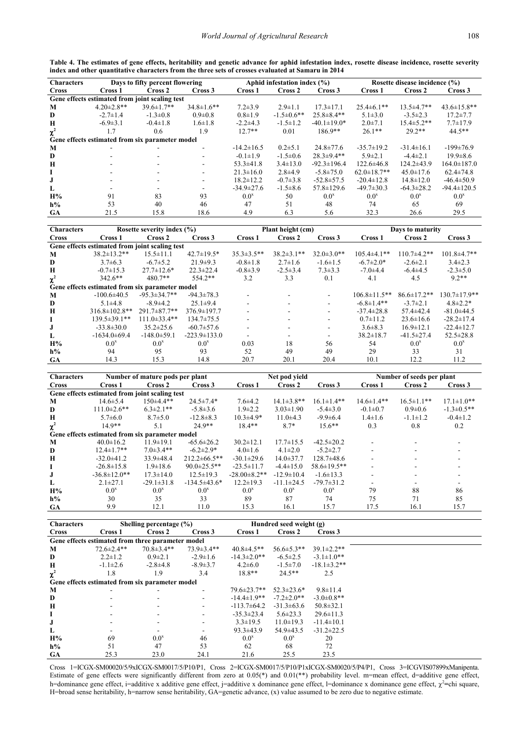| Table 4. The estimates of gene effects, heritability and genetic advance for aphid infestation index, rosette disease incidence, rosette severity |  |  |  |  |  |  |  |
|---------------------------------------------------------------------------------------------------------------------------------------------------|--|--|--|--|--|--|--|
| index and other quantitative characters from the three sets of crosses evaluated at Samaru in 2014                                                |  |  |  |  |  |  |  |
|                                                                                                                                                   |  |  |  |  |  |  |  |

<span id="page-5-0"></span>

| <b>Characters</b> | Days to fifty percent flowering |                                                 |                          |                  | Aphid infestation index $(\% )$ |                   | Rosette disease incidence (%) |                   |                    |  |
|-------------------|---------------------------------|-------------------------------------------------|--------------------------|------------------|---------------------------------|-------------------|-------------------------------|-------------------|--------------------|--|
| <b>Cross</b>      | Cross 1                         | Cross 2                                         | Cross 3                  | Cross 1          | Cross 2                         | Cross 3           | Cross 1                       | Cross 2           | Cross 3            |  |
|                   |                                 | Gene effects estimated from joint scaling test  |                          |                  |                                 |                   |                               |                   |                    |  |
| M                 | $4.20 \pm 2.8$ **               | $39.6 \pm 1.7**$                                | $34.8 \pm 1.6$ **        | $7.2 \pm 3.9$    | $2.9 \pm 1.1$                   | $17.3 \pm 17.1$   | $25.4\pm 6.1**$               | $13.5 \pm 4.7$ ** | $43.6 \pm 15.8$ ** |  |
| D                 | $-2.7 \pm 1.4$                  | $-1.3 \pm 0.8$                                  | $0.9 \pm 0.8$            | $0.8 \pm 1.9$    | $-1.5 \pm 0.6$ **               | $25.8 \pm 8.4**$  | $5.1 \pm 3.0$                 | $-3.5 \pm 2.3$    | $17.2 \pm 7.7$     |  |
| $\mathbf H$       | $-6.9 \pm 3.1$                  | $-0.4 \pm 1.8$                                  | $1.6 \pm 1.8$            | $-2.2\pm4.3$     | $-1.5 \pm 1.2$                  | $-40.1 \pm 19.0*$ | $2.0 \pm 7.1$                 | $15.4 \pm 5.2$ ** | $7.7 \pm 17.9$     |  |
| $\chi^2$          | 1.7                             | 0.6                                             | 1.9                      | $12.7**$         | 0.01                            | $186.9**$         | $26.1**$                      | $29.2**$          | 44.5**             |  |
|                   |                                 | Gene effects estimated from six parameter model |                          |                  |                                 |                   |                               |                   |                    |  |
| M                 |                                 |                                                 |                          | $-14.2 \pm 16.5$ | $0.2 \pm 5.1$                   | $24.8 \pm 77.6$   | $-35.7 \pm 19.2$              | $-31.4 \pm 16.1$  | $-199 \pm 76.9$    |  |
| D                 |                                 |                                                 |                          | $-0.1 \pm 1.9$   | $-1.5 \pm 0.6$                  | $28.3 \pm 9.4**$  | $5.9 \pm 2.1$                 | $-4.4\pm2.1$      | $19.9 \pm 8.6$     |  |
| $\mathbf H$       |                                 |                                                 |                          | $53.3 \pm 41.8$  | $3.4 \pm 13.0$                  | $-92.3 \pm 196.4$ | $122.6 \pm 46.8$              | $124.2 \pm 43.9$  | $164.0 \pm 187.0$  |  |
| L                 |                                 | -                                               |                          | $21.3 \pm 16.0$  | $2.8\pm4.9$                     | $-5.8 \pm 75.0$   | $62.0 \pm 18.7$ **            | $45.0 \pm 17.6$   | $62.4 \pm 74.8$    |  |
| J.                |                                 | $\overline{\phantom{a}}$                        | $\overline{\phantom{a}}$ | $18.2 \pm 12.2$  | $-0.7 \pm 3.8$                  | $-52.8 \pm 57.5$  | $-20.4 \pm 12.8$              | $14.8 \pm 12.0$   | $-46.4 \pm 50.9$   |  |
| L                 |                                 |                                                 |                          | $-34.9 \pm 27.6$ | $-1.5\pm8.6$                    | $57.8 \pm 129.6$  | $-49.7 \pm 30.3$              | $-64.3 \pm 28.2$  | $-94.4 \pm 120.5$  |  |
| H%                | 91                              | 83                                              | 93                       | $0.0^x$          | 50                              | $0.0^x$           | $0.0^x$                       | $0.0^x$           | $0.0^x$            |  |
| $h\%$             | 53                              | 40                                              | 46                       | 47               | 51                              | 48                | 74                            | 65                | 69                 |  |
| <b>GA</b>         | 21.5                            | 15.8                                            | 18.6                     | 4.9              | 6.3                             | 5.6               | 32.3                          | 26.6              | 29.5               |  |

| <b>Characters</b> | Rosette severity index $(\% )$                  |                     |                    |                   | Plant height (cm) |                   | Days to maturity    |                    |                     |  |
|-------------------|-------------------------------------------------|---------------------|--------------------|-------------------|-------------------|-------------------|---------------------|--------------------|---------------------|--|
| <b>Cross</b>      | Cross 1                                         | Cross 2             | Cross 3            | Cross 1           | Cross 2           | Cross 3           | Cross 1             | Cross 2            | Cross 3             |  |
|                   | Gene effects estimated from joint scaling test  |                     |                    |                   |                   |                   |                     |                    |                     |  |
| M                 | $38.2 \pm 13.2$ **                              | $15.5 \pm 11.1$     | $42.7 \pm 19.5^*$  | $35.3 \pm 3.5$ ** | $38.2 \pm 3.1$ ** | $32.0 \pm 3.0$ ** | $105.4\pm4.1**$     | $110.7\pm4.2**$    | $101.8 \pm 4.7**$   |  |
| D                 | $3.7\pm 6.3$                                    | $-6.7 \pm 5.2$      | $21.9+9.3$         | $-0.8 \pm 1.8$    | $2.7 \pm 1.6$     | $-1.6 \pm 1.5$    | $-6.7 \pm 2.0*$     | $-2.6\pm2.1$       | $3.4 \pm 2.3$       |  |
| $\mathbf H$       | $-0.7\pm1.5.3$                                  | $27.7 \pm 12.6*$    | $22.3 \pm 22.4$    | $-0.8 \pm 3.9$    | $-2.5 \pm 3.4$    | $7.3 \pm 3.3$     | $-7.0\pm4.4$        | $-6.4\pm4.5$       | $-2.3 \pm 5.0$      |  |
| $\chi^2$          | $342.6**$                                       | $480.7**$           | $554.2**$          | 3.2               | 3.3               | 0.1               | 4.1                 | 4.5                | $9.2**$             |  |
|                   | Gene effects estimated from six parameter model |                     |                    |                   |                   |                   |                     |                    |                     |  |
| M                 | $-100.6\pm 40.5$                                | $-95.3 \pm 34.7$ ** | $-94.3 \pm 78.3$   |                   |                   |                   | $106.8 \pm 11.5$ ** | $86.6 \pm 17.2$ ** | $130.7 \pm 17.9$ ** |  |
| D                 | $5.1 \pm 4.8$                                   | $-8.9 \pm 4.2$      | $25.1 \pm 9.4$     | ۰                 |                   | ۰                 | $-6.8 \pm 1.4**$    | $-3.7\pm2.1$       | $4.8 \pm 2.2*$      |  |
| H                 | $316.8 \pm 102.8$ **                            | $291.7 \pm 87.7$ ** | 376.9±197.7        |                   |                   | ٠                 | $-37.4 \pm 28.8$    | $57.4 \pm 42.4$    | $-81.0 \pm 44.5$    |  |
|                   | 139.5±39.1**                                    | $111.0\pm33.4**$    | $134.7 \pm 75.5$   | ۰                 |                   |                   | $0.7 \pm 11.2$      | $23.6 \pm 16.6$    | $-28.2 \pm 17.4$    |  |
|                   | $-33.8 \pm 30.0$                                | $35.2 \pm 25.6$     | $-60.7 \pm 57.6$   | ۰                 |                   |                   | $3.6 \pm 8.3$       | $16.9 \pm 12.1$    | $-22.4 \pm 12.7$    |  |
| L                 | $-1634.0\pm 69.4$                               | $-148.0 \pm 59.1$   | $-223.9 \pm 133.0$ |                   |                   |                   | $38.2 \pm 18.7$     | $-41.5 \pm 27.4$   | $52.5 \pm 28.8$     |  |
| H%                | $0.0^x$                                         | $0.0^x$             | $0.0^{\mathrm{x}}$ | 0.03              | 18                | 56                | 54                  | $0.0^x$            | $0.0^{\mathrm{x}}$  |  |
| $h\%$             | 94                                              | 95                  | 93                 | 52                | 49                | 49                | 29                  | 33                 | 31                  |  |
| <b>GA</b>         | 14.3                                            | 15.3                | 14.8               | 20.7              | 20.1              | 20.4              | 10.1                | 12.2               | 11.2                |  |

| <b>Characters</b> | Number of mature pods per plant                 |                  |                     |                     | Net pod yield      |                    | Number of seeds per plant |                          |                   |  |
|-------------------|-------------------------------------------------|------------------|---------------------|---------------------|--------------------|--------------------|---------------------------|--------------------------|-------------------|--|
| <b>Cross</b>      | Cross 1                                         | Cross 2          | Cross 3             | Cross 1             | Cross 2<br>Cross 3 |                    | Cross 1                   | Cross 2                  | Cross 3           |  |
|                   | Gene effects estimated from joint scaling test  |                  |                     |                     |                    |                    |                           |                          |                   |  |
| M                 | $14.6 \pm 5.4$                                  | $150\pm4.4**$    | $24.5 \pm 7.4*$     | $7.6{\pm}4.2$       | $14.1 \pm 3.8$ **  | $16.1 \pm 1.4**$   | $14.6 \pm 1.4**$          | $16.5 \pm 1.1**$         | $17.1 \pm 1.0**$  |  |
| D                 | $111.0\pm2.6**$                                 | $6.3 \pm 2.1$ ** | $-5.8 \pm 3.6$      | $1.9 \pm 2.2$       | $3.03 \pm 1.90$    | $-5.4 \pm 3.0$     | $-0.1 \pm 0.7$            | $0.9 \pm 0.6$            | $-1.3 \pm 0.5$ ** |  |
| Н                 | $5.7\pm 6.0$                                    | $8.7 \pm 5.0$    | $-12.8 \pm 8.3$     | $10.3 \pm 4.9*$     | $11.0+4.3$         | $-9.9 \pm 6.4$     | $1.4 \pm 1.6$             | $-1.1 \pm 1.2$           | $-0.4 \pm 1.2$    |  |
| $\chi^2$          | $14.9**$                                        | 5.1              | $24.9**$            | $18.4**$            | $8.7*$             | $15.6**$           | 0.3                       | 0.8                      | 0.2               |  |
|                   | Gene effects estimated from six parameter model |                  |                     |                     |                    |                    |                           |                          |                   |  |
| M                 | $40.0 \pm 16.2$                                 | $11.9 \pm 19.1$  | $-65.6 \pm 26.2$    | $30.2 \pm 12.1$     | $17.7 \pm 15.5$    | $-42.5 \pm 20.2$   |                           |                          |                   |  |
| D                 | $12.4 \pm 1.7**$                                | $7.0 \pm 3.4$ ** | $-6.2 \pm 2.9*$     | $4.0 \pm 1.6$       | $4.1 \pm 2.0$      | $-5.2 \pm 2.7$     |                           | $\overline{\phantom{a}}$ |                   |  |
| $\mathbf H$       | $-32.0 \pm 41.2$                                | $33.9 \pm 48.4$  | $212.2 \pm 66.5$ ** | $-30.1 \pm 29.6$    | $14.0 \pm 37.7$    | $128.7\pm48.6$     |                           | $\blacksquare$           |                   |  |
|                   | $-26.8 \pm 15.8$                                | $1.9 \pm 18.6$   | $90.0 \pm 25.5$ **  | $-23.5 \pm 11.7$    | $-4.4 \pm 15.0$    | $58.6 \pm 19.5$ ** |                           |                          |                   |  |
|                   | $-36.8 \pm 12.0$ **                             | $17.3 \pm 14.0$  | $12.5 \pm 19.3$     | $-28.00 \pm 8.2$ ** | $-12.9 \pm 10.4$   | $-1.6 \pm 13.3$    |                           |                          |                   |  |
| L                 | $2.1 \pm 27.1$                                  | $-29.1 \pm 31.8$ | $-134.5\pm43.6*$    | $12.2 \pm 19.3$     | $-11.1 \pm 24.5$   | $-79.7 \pm 31.2$   |                           |                          |                   |  |
| H%                | $0.0^x$                                         | $0.0^x$          | $0.0^x$             | $0.0^x$             | $0.0^x$            | $0.0^x$            | 79                        | 88                       | 86                |  |
| $h\%$             | 30                                              | 35               | 33                  | 89                  | 87                 | 74                 | 75                        | 71                       | 85                |  |
| <b>GA</b>         | 9.9                                             | 12.1             | 11.0                | 15.3                | 16.1               | 15.7               | 17.5                      | 16.1                     | 15.7              |  |

| <b>Characters</b> | Shelling percentage $(\% )$ |                                                   |                  |                    | Hundred seed weight (g) |                    |  |
|-------------------|-----------------------------|---------------------------------------------------|------------------|--------------------|-------------------------|--------------------|--|
| <b>Cross</b>      | Cross 1                     | Cross 2                                           | Cross 3          | Cross 1            | Cross 2                 | Cross 3            |  |
|                   |                             | Gene effects estimated from three parameter model |                  |                    |                         |                    |  |
| M                 | $72.6 \pm 2.4$ **           | $70.8 \pm 3.4$ **                                 | $73.9 \pm 3.4**$ | $40.8 \pm 4.5$ **  | $56.6 \pm 5.3$ **       | $39.1 \pm 2.2$ **  |  |
| D                 | $2.2 \pm 1.2$               | $0.9 \pm 2.1$                                     | $-2.9 \pm 1.6$   | $-14.3 \pm 2.0$ ** | $-6.5 \pm 2.5$          | $-3.1 \pm 1.0$ **  |  |
| H                 | $-1.1\pm2.6$                | $-2.8+4.8$                                        | $-8.9 \pm 3.7$   | $4.2 \pm 6.0$      | $-1.5 \pm 7.0$          | $-18.1 \pm 3.2$ ** |  |
| $\chi^2$          | 1.8                         | 1.9                                               | 3.4              | $18.8**$           | $24.5**$                | 2.5                |  |
|                   |                             | Gene effects estimated from six parameter model   |                  |                    |                         |                    |  |
| M                 |                             |                                                   |                  | $79.6 \pm 23.7$ ** | $52.3 \pm 23.6^*$       | $9.8 \pm 11.4$     |  |
| D                 |                             |                                                   | $\sim$           | $-14.4 \pm 1.9$ ** | $-7.2 \pm 2.0$ **       | $-3.0 \pm 0.8$ **  |  |
| $\mathbf H$       |                             |                                                   | $\sim$           | $-113.7\pm 64.2$   | $-31.3 \pm 63.6$        | $50.8 \pm 32.1$    |  |
| 1                 |                             |                                                   |                  | $-35.3 \pm 23.4$   | $5.6 \pm 23.3$          | $29.6 \pm 11.3$    |  |
| J                 |                             |                                                   |                  | $3.3 \pm 19.5$     | $11.0 \pm 19.3$         | $-11.4 \pm 10.1$   |  |
| L                 |                             |                                                   |                  | $93.3 \pm 43.9$    | $54.9 \pm 43.5$         | $-31.2 \pm 22.5$   |  |
| H%                | 69                          | $0.0^{\mathrm{x}}$                                | 46               | $0.0^x$            | $0.0^x$                 | 20                 |  |
| $h\%$             | 51                          | 47                                                | 53               | 62                 | 68                      | 72                 |  |
| <b>GA</b>         | 25.3                        | 23.0                                              | 24.1             | 21.6               | 25.5                    | 23.5               |  |

Cross 1=ICGX-SM00020/5/9xICGX-SM0017/5/P10/P1, Cross 2=ICGX-SM0017/5/P10/P1xICGX-SM0020/5/P4/P1, Cross 3=ICGVIS07899xManipenta. Estimate of gene effects were significantly different from zero at 0.05(\*) and 0.01(\*\*) probability level. m=mean effect, d=additive gene effect, h=dominance gene effect, i=additive x additive gene effect, j=additive x dominance gene effect, l=dominance x dominance gene effect,  $χ^2$ =chi square, H=broad sense heritability, h=narrow sense heritability, GA=genetic advance, (x) value assumed to be zero due to negative estimate.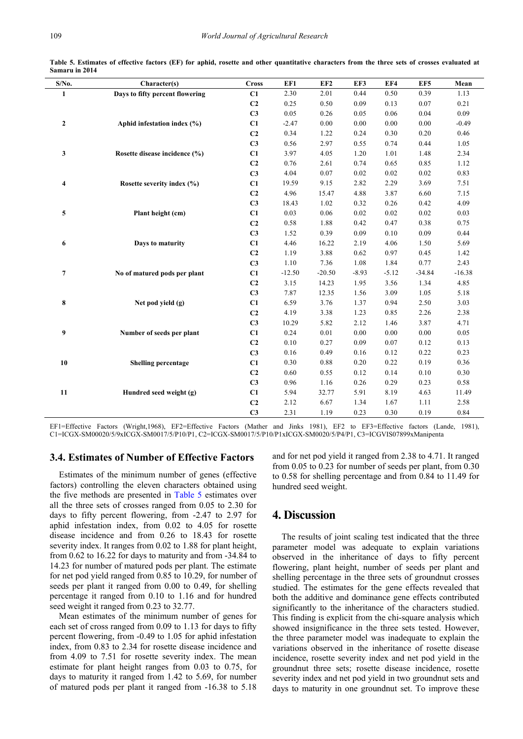<span id="page-6-0"></span>

| S/No.                   | Character(s)                    | <b>Cross</b>   | EF1      | EF <sub>2</sub> | EF3      | EF4     | EF5      | Mean     |
|-------------------------|---------------------------------|----------------|----------|-----------------|----------|---------|----------|----------|
| $\mathbf{1}$            | Days to fifty percent flowering | C1             | 2.30     | 2.01            | 0.44     | 0.50    | 0.39     | 1.13     |
|                         |                                 | C <sub>2</sub> | 0.25     | 0.50            | 0.09     | 0.13    | 0.07     | 0.21     |
|                         |                                 | C <sub>3</sub> | 0.05     | 0.26            | 0.05     | 0.06    | 0.04     | 0.09     |
| $\boldsymbol{2}$        | Aphid infestation index (%)     | C1             | $-2.47$  | 0.00            | 0.00     | 0.00    | 0.00     | $-0.49$  |
|                         |                                 | C <sub>2</sub> | 0.34     | 1.22            | 0.24     | 0.30    | 0.20     | 0.46     |
|                         |                                 | C <sub>3</sub> | 0.56     | 2.97            | 0.55     | 0.74    | 0.44     | 1.05     |
| 3                       | Rosette disease incidence (%)   | C1             | 3.97     | 4.05            | 1.20     | 1.01    | 1.48     | 2.34     |
|                         |                                 | C <sub>2</sub> | 0.76     | 2.61            | 0.74     | 0.65    | 0.85     | 1.12     |
|                         |                                 | C <sub>3</sub> | 4.04     | 0.07            | $0.02\,$ | 0.02    | 0.02     | 0.83     |
| $\overline{\mathbf{4}}$ | Rosette severity index (%)      | C1             | 19.59    | 9.15            | 2.82     | 2.29    | 3.69     | 7.51     |
|                         |                                 | C <sub>2</sub> | 4.96     | 15.47           | 4.88     | 3.87    | 6.60     | 7.15     |
|                         |                                 | C <sub>3</sub> | 18.43    | 1.02            | 0.32     | 0.26    | 0.42     | 4.09     |
| 5                       | Plant height (cm)               | C1             | 0.03     | 0.06            | $0.02\,$ | 0.02    | $0.02\,$ | 0.03     |
|                         |                                 | C <sub>2</sub> | 0.58     | 1.88            | 0.42     | 0.47    | 0.38     | 0.75     |
|                         |                                 | C <sub>3</sub> | 1.52     | 0.39            | 0.09     | 0.10    | 0.09     | 0.44     |
| 6                       | Days to maturity                | C1             | 4.46     | 16.22           | 2.19     | 4.06    | 1.50     | 5.69     |
|                         |                                 | C <sub>2</sub> | 1.19     | 3.88            | 0.62     | 0.97    | 0.45     | 1.42     |
|                         |                                 | C <sub>3</sub> | 1.10     | 7.36            | 1.08     | 1.84    | 0.77     | 2.43     |
| $\overline{7}$          | No of matured pods per plant    | C1             | $-12.50$ | $-20.50$        | $-8.93$  | $-5.12$ | $-34.84$ | $-16.38$ |
|                         |                                 | C <sub>2</sub> | 3.15     | 14.23           | 1.95     | 3.56    | 1.34     | 4.85     |
|                         |                                 | C3             | 7.87     | 12.35           | 1.56     | 3.09    | 1.05     | 5.18     |
| 8                       | Net pod yield $(g)$             | C1             | 6.59     | 3.76            | 1.37     | 0.94    | 2.50     | 3.03     |
|                         |                                 | C <sub>2</sub> | 4.19     | 3.38            | 1.23     | 0.85    | 2.26     | 2.38     |
|                         |                                 | C <sub>3</sub> | 10.29    | 5.82            | 2.12     | 1.46    | 3.87     | 4.71     |
| 9                       | Number of seeds per plant       | C1             | 0.24     | $0.01\,$        | 0.00     | 0.00    | 0.00     | 0.05     |
|                         |                                 | C <sub>2</sub> | 0.10     | 0.27            | 0.09     | 0.07    | 0.12     | 0.13     |
|                         |                                 | C <sub>3</sub> | 0.16     | 0.49            | 0.16     | 0.12    | 0.22     | 0.23     |
| 10                      | <b>Shelling percentage</b>      | C1             | 0.30     | 0.88            | 0.20     | 0.22    | 0.19     | 0.36     |
|                         |                                 | C <sub>2</sub> | 0.60     | 0.55            | 0.12     | 0.14    | 0.10     | 0.30     |
|                         |                                 | C <sub>3</sub> | 0.96     | 1.16            | 0.26     | 0.29    | 0.23     | 0.58     |
| 11                      | Hundred seed weight (g)         | C1             | 5.94     | 32.77           | 5.91     | 8.19    | 4.63     | 11.49    |
|                         |                                 | C <sub>2</sub> | 2.12     | 6.67            | 1.34     | 1.67    | 1.11     | 2.58     |
|                         |                                 | C <sub>3</sub> | 2.31     | 1.19            | 0.23     | 0.30    | 0.19     | 0.84     |

**Table 5. Estimates of effective factors (EF) for aphid, rosette and other quantitative characters from the three sets of crosses evaluated at Samaru in 2014**

EF1=Effective Factors (Wright,1968), EF2=Effective Factors (Mather and Jinks 1981), EF2 to EF3=Effective factors (Lande, 1981), C1=ICGX-SM00020/5/9xICGX-SM0017/5/P10/P1, C2=ICGX-SM0017/5/P10/P1xICGX-SM0020/5/P4/P1, C3=ICGVIS07899xManipenta

## **3.4. Estimates of Number of Effective Factors**

Estimates of the minimum number of genes (effective factors) controlling the eleven characters obtained using the five methods are presented in [Table 5](#page-6-0) estimates over all the three sets of crosses ranged from 0.05 to 2.30 for days to fifty percent flowering, from -2.47 to 2.97 for aphid infestation index, from 0.02 to 4.05 for rosette disease incidence and from 0.26 to 18.43 for rosette severity index. It ranges from 0.02 to 1.88 for plant height, from 0.62 to 16.22 for days to maturity and from -34.84 to 14.23 for number of matured pods per plant. The estimate for net pod yield ranged from 0.85 to 10.29, for number of seeds per plant it ranged from 0.00 to 0.49, for shelling percentage it ranged from 0.10 to 1.16 and for hundred seed weight it ranged from 0.23 to 32.77.

Mean estimates of the minimum number of genes for each set of cross ranged from 0.09 to 1.13 for days to fifty percent flowering, from -0.49 to 1.05 for aphid infestation index, from 0.83 to 2.34 for rosette disease incidence and from 4.09 to 7.51 for rosette severity index. The mean estimate for plant height ranges from 0.03 to 0.75, for days to maturity it ranged from 1.42 to 5.69, for number of matured pods per plant it ranged from -16.38 to 5.18

and for net pod yield it ranged from 2.38 to 4.71. It ranged from 0.05 to 0.23 for number of seeds per plant, from 0.30 to 0.58 for shelling percentage and from 0.84 to 11.49 for hundred seed weight.

## **4. Discussion**

The results of joint scaling test indicated that the three parameter model was adequate to explain variations observed in the inheritance of days to fifty percent flowering, plant height, number of seeds per plant and shelling percentage in the three sets of groundnut crosses studied. The estimates for the gene effects revealed that both the additive and dominance gene effects contributed significantly to the inheritance of the characters studied. This finding is explicit from the chi-square analysis which showed insignificance in the three sets tested. However, the three parameter model was inadequate to explain the variations observed in the inheritance of rosette disease incidence, rosette severity index and net pod yield in the groundnut three sets; rosette disease incidence, rosette severity index and net pod yield in two groundnut sets and days to maturity in one groundnut set. To improve these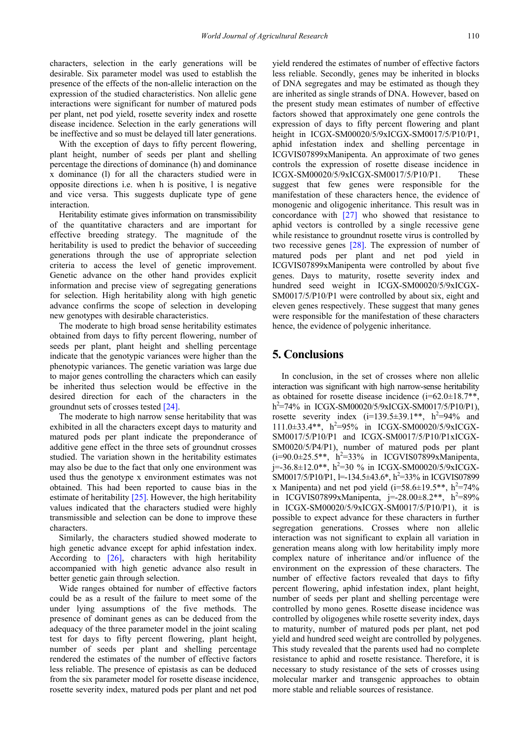characters, selection in the early generations will be desirable. Six parameter model was used to establish the presence of the effects of the non-allelic interaction on the expression of the studied characteristics. Non allelic gene interactions were significant for number of matured pods per plant, net pod yield, rosette severity index and rosette disease incidence. Selection in the early generations will be ineffective and so must be delayed till later generations.

With the exception of days to fifty percent flowering, plant height, number of seeds per plant and shelling percentage the directions of dominance (h) and dominance x dominance (l) for all the characters studied were in opposite directions i.e. when h is positive, l is negative and vice versa. This suggests duplicate type of gene interaction.

Heritability estimate gives information on transmissibility of the quantitative characters and are important for effective breeding strategy. The magnitude of the heritability is used to predict the behavior of succeeding generations through the use of appropriate selection criteria to access the level of genetic improvement. Genetic advance on the other hand provides explicit information and precise view of segregating generations for selection. High heritability along with high genetic advance confirms the scope of selection in developing new genotypes with desirable characteristics.

The moderate to high broad sense heritability estimates obtained from days to fifty percent flowering, number of seeds per plant, plant height and shelling percentage indicate that the genotypic variances were higher than the phenotypic variances. The genetic variation was large due to major genes controlling the characters which can easily be inherited thus selection would be effective in the desired direction for each of the characters in the groundnut sets of crosses tested [\[24\].](#page-8-21)

The moderate to high narrow sense heritability that was exhibited in all the characters except days to maturity and matured pods per plant indicate the preponderance of additive gene effect in the three sets of groundnut crosses studied. The variation shown in the heritability estimates may also be due to the fact that only one environment was used thus the genotype x environment estimates was not obtained. This had been reported to cause bias in the estimate of heritability [\[25\].](#page-8-22) However, the high heritability values indicated that the characters studied were highly transmissible and selection can be done to improve these characters.

Similarly, the characters studied showed moderate to high genetic advance except for aphid infestation index. According to [\[26\],](#page-8-23) characters with high heritability accompanied with high genetic advance also result in better genetic gain through selection.

Wide ranges obtained for number of effective factors could be as a result of the failure to meet some of the under lying assumptions of the five methods. The presence of dominant genes as can be deduced from the adequacy of the three parameter model in the joint scaling test for days to fifty percent flowering, plant height, number of seeds per plant and shelling percentage rendered the estimates of the number of effective factors less reliable. The presence of epistasis as can be deduced from the six parameter model for rosette disease incidence, rosette severity index, matured pods per plant and net pod yield rendered the estimates of number of effective factors less reliable. Secondly, genes may be inherited in blocks of DNA segregates and may be estimated as though they are inherited as single strands of DNA. However, based on the present study mean estimates of number of effective factors showed that approximately one gene controls the expression of days to fifty percent flowering and plant height in ICGX-SM00020/5/9xICGX-SM0017/5/P10/P1, aphid infestation index and shelling percentage in ICGVIS07899xManipenta. An approximate of two genes controls the expression of rosette disease incidence in ICGX-SM00020/5/9xICGX-SM0017/5/P10/P1. These suggest that few genes were responsible for the manifestation of these characters hence, the evidence of monogenic and oligogenic inheritance. This result was in concordance with [\[27\]](#page-8-24) who showed that resistance to aphid vectors is controlled by a single recessive gene while resistance to groundnut rosette virus is controlled by two recessive genes [\[28\].](#page-8-25) The expression of number of matured pods per plant and net pod yield in ICGVIS07899xManipenta were controlled by about five genes. Days to maturity, rosette severity index and hundred seed weight in ICGX-SM00020/5/9xICGX-SM0017/5/P10/P1 were controlled by about six, eight and eleven genes respectively. These suggest that many genes were responsible for the manifestation of these characters hence, the evidence of polygenic inheritance.

# **5. Conclusions**

In conclusion, in the set of crosses where non allelic interaction was significant with high narrow-sense heritability as obtained for rosette disease incidence  $(i=62.0\pm18.7**)$ , h<sup>2</sup>=74% in ICGX-SM00020/5/9xICGX-SM0017/5/P10/P1), rosette severity index  $(i=139.5\pm39.1**, h^2=94\%$  and  $111.0\pm33.4**$ ,  $h^2=95\%$  in ICGX-SM00020/5/9xICGX-SM0017/5/P10/P1 and ICGX-SM0017/5/P10/P1xICGX-SM0020/5/P4/P1), number of matured pods per plant  $(i=90.0 \pm 25.5**, h^2=33\%$  in ICGVIS07899xManipenta,  $j=36.8\pm12.0**$ ,  $h^2=30$  % in ICGX-SM00020/5/9xICGX-SM0017/5/P10/P1, l=-134.5 $\pm$ 43.6 $*$ , h<sup>2</sup>=33% in ICGVIS07899 x Manipenta) and net pod yield  $(i=58.6 \pm 19.5**, h^2=74\%$ in ICGVIS07899xManipenta,  $j=28.00\pm8.2**$ ,  $h^2=89\%$ in ICGX-SM00020/5/9xICGX-SM0017/5/P10/P1), it is possible to expect advance for these characters in further segregation generations. Crosses where non allelic interaction was not significant to explain all variation in generation means along with low heritability imply more complex nature of inheritance and/or influence of the environment on the expression of these characters. The number of effective factors revealed that days to fifty percent flowering, aphid infestation index, plant height, number of seeds per plant and shelling percentage were controlled by mono genes. Rosette disease incidence was controlled by oligogenes while rosette severity index, days to maturity, number of matured pods per plant, net pod yield and hundred seed weight are controlled by polygenes. This study revealed that the parents used had no complete resistance to aphid and rosette resistance. Therefore, it is necessary to study resistance of the sets of crosses using molecular marker and transgenic approaches to obtain more stable and reliable sources of resistance.